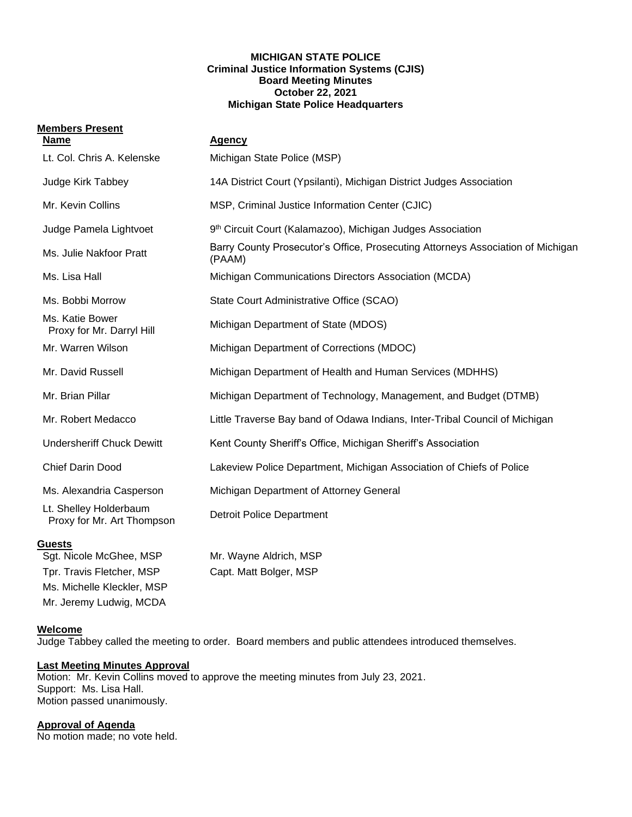#### **MICHIGAN STATE POLICE Criminal Justice Information Systems (CJIS) Board Meeting Minutes October 22, 2021 Michigan State Police Headquarters**

# **Members Present**

| <b>Name</b>                                          | Agency                                                                                    |
|------------------------------------------------------|-------------------------------------------------------------------------------------------|
| Lt. Col. Chris A. Kelenske                           | Michigan State Police (MSP)                                                               |
| Judge Kirk Tabbey                                    | 14A District Court (Ypsilanti), Michigan District Judges Association                      |
| Mr. Kevin Collins                                    | MSP, Criminal Justice Information Center (CJIC)                                           |
| Judge Pamela Lightvoet                               | 9th Circuit Court (Kalamazoo), Michigan Judges Association                                |
| Ms. Julie Nakfoor Pratt                              | Barry County Prosecutor's Office, Prosecuting Attorneys Association of Michigan<br>(PAAM) |
| Ms. Lisa Hall                                        | Michigan Communications Directors Association (MCDA)                                      |
| Ms. Bobbi Morrow                                     | State Court Administrative Office (SCAO)                                                  |
| Ms. Katie Bower<br>Proxy for Mr. Darryl Hill         | Michigan Department of State (MDOS)                                                       |
| Mr. Warren Wilson                                    | Michigan Department of Corrections (MDOC)                                                 |
| Mr. David Russell                                    | Michigan Department of Health and Human Services (MDHHS)                                  |
| Mr. Brian Pillar                                     | Michigan Department of Technology, Management, and Budget (DTMB)                          |
| Mr. Robert Medacco                                   | Little Traverse Bay band of Odawa Indians, Inter-Tribal Council of Michigan               |
| <b>Undersheriff Chuck Dewitt</b>                     | Kent County Sheriff's Office, Michigan Sheriff's Association                              |
| <b>Chief Darin Dood</b>                              | Lakeview Police Department, Michigan Association of Chiefs of Police                      |
| Ms. Alexandria Casperson                             | Michigan Department of Attorney General                                                   |
| Lt. Shelley Holderbaum<br>Proxy for Mr. Art Thompson | <b>Detroit Police Department</b>                                                          |
| <b>Guests</b>                                        |                                                                                           |
| Sgt. Nicole McGhee, MSP                              | Mr. Wayne Aldrich, MSP                                                                    |
| Tpr. Travis Fletcher, MSP                            | Capt. Matt Bolger, MSP                                                                    |

Ms. Michelle Kleckler, MSP Mr. Jeremy Ludwig, MCDA

**Welcome**

Judge Tabbey called the meeting to order. Board members and public attendees introduced themselves.

## **Last Meeting Minutes Approval**

Motion: Mr. Kevin Collins moved to approve the meeting minutes from July 23, 2021. Support: Ms. Lisa Hall. Motion passed unanimously.

## **Approval of Agenda**

No motion made; no vote held.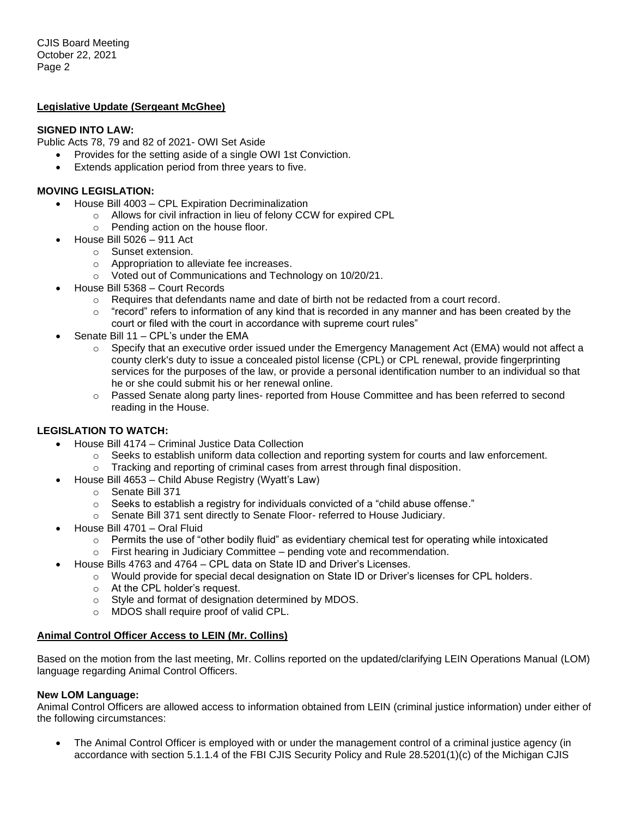#### **Legislative Update (Sergeant McGhee)**

#### **SIGNED INTO LAW:**

Public Acts 78, 79 and 82 of 2021- OWI Set Aside

- Provides for the setting aside of a single OWI 1st Conviction.
- Extends application period from three years to five.

#### **MOVING LEGISLATION:**

- House Bill 4003 CPL Expiration Decriminalization
	- o Allows for civil infraction in lieu of felony CCW for expired CPL
	- o Pending action on the house floor.
- House Bill 5026 911 Act
	- o Sunset extension.
	- o Appropriation to alleviate fee increases.
	- o Voted out of Communications and Technology on 10/20/21.
- House Bill 5368 Court Records
	- $\circ$  Requires that defendants name and date of birth not be redacted from a court record.
	- $\circ$  "record" refers to information of any kind that is recorded in any manner and has been created by the court or filed with the court in accordance with supreme court rules"
- Senate Bill 11 CPL's under the EMA
	- $\circ$  Specify that an executive order issued under the Emergency Management Act (EMA) would not affect a county clerk's duty to issue a concealed pistol license (CPL) or CPL renewal, provide fingerprinting services for the purposes of the law, or provide a personal identification number to an individual so that he or she could submit his or her renewal online.
	- o Passed Senate along party lines- reported from House Committee and has been referred to second reading in the House.

## **LEGISLATION TO WATCH:**

- House Bill 4174 Criminal Justice Data Collection
	- $\circ$  Seeks to establish uniform data collection and reporting system for courts and law enforcement.
	- $\circ$  Tracking and reporting of criminal cases from arrest through final disposition.
- House Bill 4653 Child Abuse Registry (Wyatt's Law)
	- o Senate Bill 371
	- $\circ$  Seeks to establish a registry for individuals convicted of a "child abuse offense."
	- o Senate Bill 371 sent directly to Senate Floor- referred to House Judiciary.
- House Bill 4701 Oral Fluid
	- $\circ$  Permits the use of "other bodily fluid" as evidentiary chemical test for operating while intoxicated
	- $\circ$  First hearing in Judiciary Committee pending vote and recommendation.
- House Bills 4763 and 4764 CPL data on State ID and Driver's Licenses.
	- o Would provide for special decal designation on State ID or Driver's licenses for CPL holders.
	- o At the CPL holder's request.
	- o Style and format of designation determined by MDOS.
	- o MDOS shall require proof of valid CPL.

## **Animal Control Officer Access to LEIN (Mr. Collins)**

Based on the motion from the last meeting, Mr. Collins reported on the updated/clarifying LEIN Operations Manual (LOM) language regarding Animal Control Officers.

#### **New LOM Language:**

Animal Control Officers are allowed access to information obtained from LEIN (criminal justice information) under either of the following circumstances:

• The Animal Control Officer is employed with or under the management control of a criminal justice agency (in accordance with section 5.1.1.4 of the FBI CJIS Security Policy and Rule 28.5201(1)(c) of the Michigan CJIS